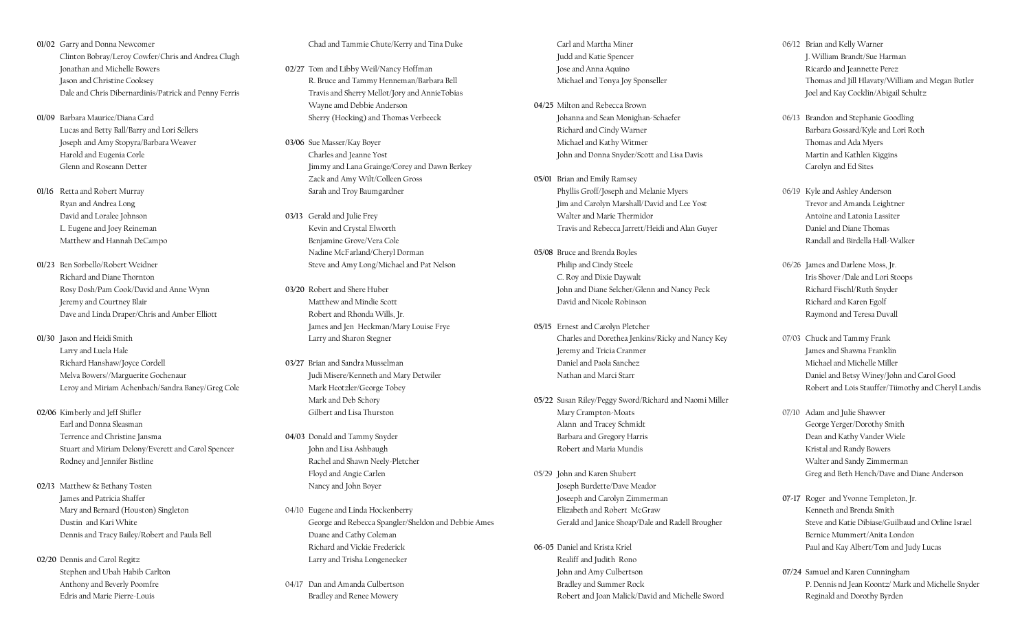- 01/02 Garry and Donna Newcomer Clinton Bobray/Leroy Cowfer/Chris and Andrea Clugh Jonathan and Michelle Bowers Jason and Christine Cooksey Dale and Chris Dibernardinis/Patrick and Penny Ferris
- 01/09 Barbara Maurice/Diana Card Lucas and Betty Ball/Barry and Lori Sellers Joseph and Amy Stopyra/Barbara Weaver Harold and Eugenia Corle Glenn and Roseann Detter
- 01/16 Retta and Robert Murray Ryan and Andrea Long David and Loralee Johnson L. Eugene and Joey Reineman Matthew and Hannah DeCampo
- 01/23 Ben Sorbello/Robert Weidner Richard and Diane Thornton Rosy Dosh/Pam Cook/David and Anne Wynn Jeremy and Courtney Blair Dave and Linda Draper/Chris and Amber Elliott
- 01/30 Jason and Heidi Smith Larry and Luela Hale Richard Hanshaw/Joyce Cordell Melva Bowers//Marguerite Gochenaur Leroy and Miriam Achenbach/Sandra Baney/Greg Cole
- 02/06 Kimberly and Jeff Shifler Earl and Donna Sleasman Terrence and Christine Jansma Stuart and Miriam Delony/Everett and Carol Spencer Rodney and Jennifer Bistline
- 02/13 Matthew & Bethany Tosten James and Patricia Shaffer Mary and Bernard (Houston) Singleton Dustin and Kari White Dennis and Tracy Bailey/Robert and Paula Bell
- 02/20 Dennis and Carol Regitz Stephen and Ubah Habib Carlton Anthony and Beverly Poomfre Edris and Marie Pierre-Louis

Chad and Tammie Chute/Kerry and Tina Duke

- 02/27 Tom and Libby Weil/Nancy Hoffman R. Bruce and Tammy Henneman/Barbara Bell Travis and Sherry Mellot/Jory and AnnieTobias Wayne amd Debbie Anderson Sherry (Hocking) and Thomas Verbeeck
- 03/06 Sue Masser/Kay Boyer Charles and Jeanne Yost Jimmy and Lana Grainge/Corey and Dawn Berkey Zack and Amy Wilt/Colleen Gross Sarah and Troy Baumgardner
- 03/13 Gerald and Julie Frey Kevin and Crystal Elworth Benjamine Grove/Vera Cole Nadine McFarland/Cheryl Dorman Steve and Amy Long/Michael and Pat Nelson
- 03/20 Robert and Shere Huber Matthew and Mindie Scott Robert and Rhonda Wills, Jr. James and Jen Heckman/Mary Louise Frye Larry and Sharon Stegner
- 03/27 Brian and Sandra Musselman Judi Misere/Kenneth and Mary Detwiler Mark Heotzler/George Tobey Mark and Deb Schory Gilbert and Lisa Thurston
- 04/03 Donald and Tammy Snyder John and Lisa Ashbaugh Rachel and Shawn Neely-Pletcher Floyd and Angie Carlen Nancy and John Boyer
- 04/10 Eugene and Linda Hockenberry George and Rebecca Spangler/Sheldon and Debbie Ames Duane and Cathy Coleman Richard and Vickie Frederick Larry and Trisha Longenecker
- 04/17 Dan and Amanda Culbertson Bradley and Renee Mowery

 Carl and Martha Miner Judd and Katie Spencer Jose and Anna Aquino Michael and Tonya Joy Sponseller

- 04/25 Milton and Rebecca Brown Johanna and Sean Monighan-Schaefer Richard and Cindy Warner Michael and Kathy Witmer John and Donna Snyder/Scott and Lisa Davis
- 05/01 Brian and Emily Ramsey Phyllis Groff/Joseph and Melanie Myers Jim and Carolyn Marshall/ David and Lee Yost Walter and Marie Thermidor Travis and Rebecca Jarrett/Heidi and Alan Guyer
- 05/08 Bruce and Brenda Boyles Philip and Cindy Steele C. Roy and Dixie Daywalt John and Diane Selcher/Glenn and Nancy Peck David and Nicole Robinson
- 05/15 Ernest and Carolyn Pletcher Charles and Dorethea Jenkins/Ricky and Nancy Key Jeremy and Tricia Cranmer Daniel and Paola Sanchez Nathan and Marci Starr
- 05/22 Susan Riley/Peggy Sword/Richard and Naomi Miller Mary Crampton-Moats Alann and Tracey Schmidt Barbara and Gregory Harris Robert and Maria Mundis
- 05/29 John and Karen Shubert Joseph Burdette/Dave Meador Joseeph and Carolyn Zimmerman Elizabeth and Robert McGraw Gerald and Janice Shoap/Dale and Radell Brougher
- 06-05 Daniel and Krista Kriel Realiff and Judith Rono John and Amy Culbertson Bradley and Summer Rock Robert and Joan Malick/David and Michelle Sword
- 06/12 Brian and Kelly Warner J. William Brandt/Sue Harman Ricardo and Jeannette Perez Thomas and Jill Hlavaty/William and Megan Butler Joel and Kay Cocklin/Abigail Schultz
- 06/13 Brandon and Stephanie Goodling Barbara Gossard/Kyle and Lori Roth Thomas and Ada Myers Martin and Kathlen Kiggins Carolyn and Ed Sites
- 06/19 Kyle and Ashley Anderson Trevor and Amanda Leightner Antoine and Latonia Lassiter Daniel and Diane Thomas Randall and Birdella Hall-Walker
- 06/26 James and Darlene Moss, Jr. Iris Shover /Dale and Lori Stoops Richard Fischl/Ruth Snyder Richard and Karen Egolf Raymond and Teresa Duvall
- 07/03 Chuck and Tammy Frank James and Shawna Franklin Michael and Michelle Miller Daniel and Betsy Winey/John and Carol Good Robert and Lois Stauffer/Tiimothy and Cheryl Landis
- 07/10 Adam and Julie Shawver George Yerger/Dorothy Smith Dean and Kathy Vander Wiele Kristal and Randy Bowers Walter and Sandy Zimmerman Greg and Beth Hench/Dave and Diane Anderson
- 07-17 Roger and Yvonne Templeton, Jr. Kenneth and Brenda Smith Steve and Katie Dibiase/Guilbaud and Orline Israel Bernice Mummert/Anita London Paul and Kay Albert/Tom and Judy Lucas
- 07/24 Samuel and Karen Cunningham P. Dennis nd Jean Koontz/ Mark and Michelle Snyder Reginald and Dorothy Byrden